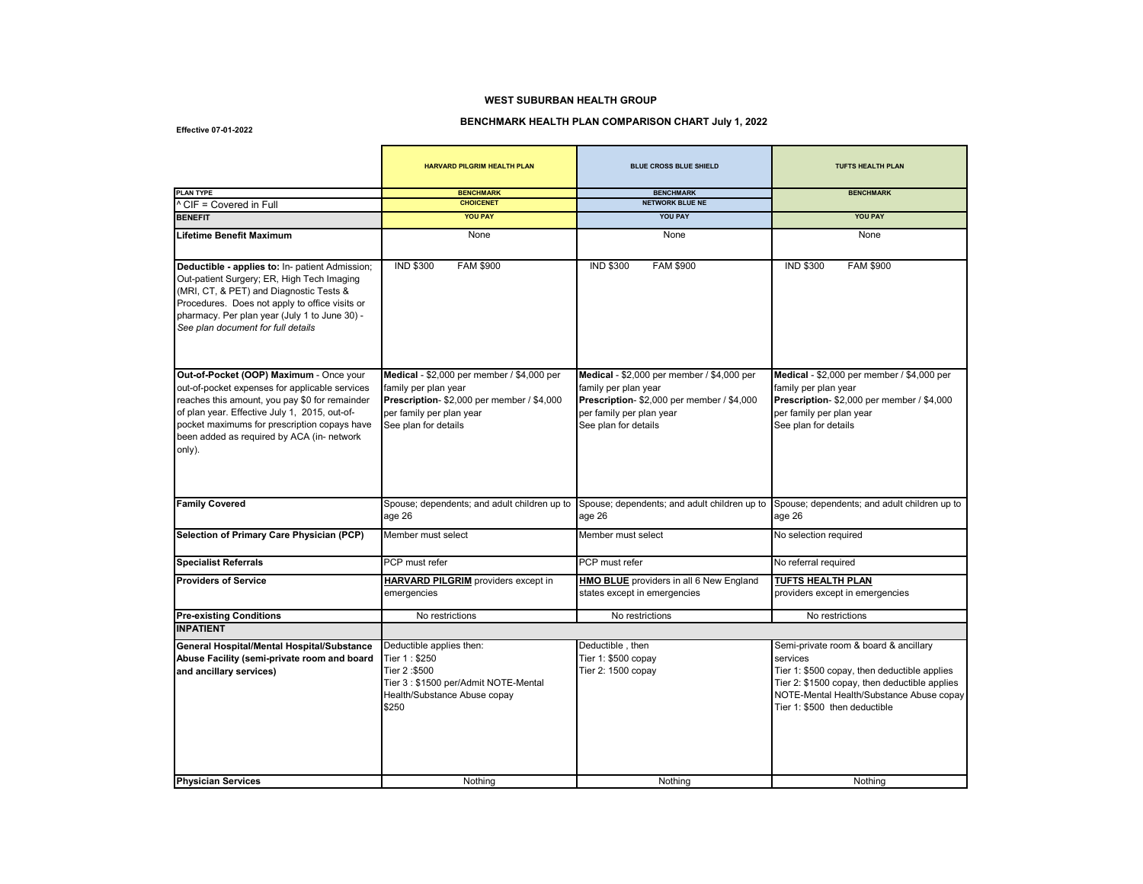## **WEST SUBURBAN HEALTH GROUP**

## **BENCHMARK HEALTH PLAN COMPARISON CHART July 1, 2022**

**Effective 07-01-2022**

|                                                                                                                                                                                                                                                                                                      | <b>HARVARD PILGRIM HEALTH PLAN</b>                                                                                                                                   | <b>BLUE CROSS BLUE SHIELD</b>                                                                                                                                        | <b>TUFTS HEALTH PLAN</b>                                                                                                                                                   |
|------------------------------------------------------------------------------------------------------------------------------------------------------------------------------------------------------------------------------------------------------------------------------------------------------|----------------------------------------------------------------------------------------------------------------------------------------------------------------------|----------------------------------------------------------------------------------------------------------------------------------------------------------------------|----------------------------------------------------------------------------------------------------------------------------------------------------------------------------|
| <b>PLAN TYPE</b>                                                                                                                                                                                                                                                                                     | <b>BENCHMARK</b><br><b>CHOICENET</b>                                                                                                                                 | <b>BENCHMARK</b><br><b>NETWORK BLUE NE</b>                                                                                                                           | <b>BENCHMARK</b>                                                                                                                                                           |
| ^ CIF = Covered in Full<br><b>BENEFIT</b>                                                                                                                                                                                                                                                            | <b>YOU PAY</b>                                                                                                                                                       | <b>YOU PAY</b>                                                                                                                                                       | <b>YOU PAY</b>                                                                                                                                                             |
|                                                                                                                                                                                                                                                                                                      |                                                                                                                                                                      |                                                                                                                                                                      |                                                                                                                                                                            |
| <b>Lifetime Benefit Maximum</b>                                                                                                                                                                                                                                                                      | None                                                                                                                                                                 | None                                                                                                                                                                 | None                                                                                                                                                                       |
| Deductible - applies to: In- patient Admission;<br>Out-patient Surgery; ER, High Tech Imaging<br>(MRI, CT, & PET) and Diagnostic Tests &<br>Procedures. Does not apply to office visits or<br>pharmacy. Per plan year (July 1 to June 30) -<br>See plan document for full details                    | <b>IND \$300</b><br><b>FAM \$900</b>                                                                                                                                 | <b>FAM \$900</b><br><b>IND \$300</b>                                                                                                                                 | <b>IND \$300</b><br><b>FAM \$900</b>                                                                                                                                       |
| Out-of-Pocket (OOP) Maximum - Once your<br>out-of-pocket expenses for applicable services<br>reaches this amount, you pay \$0 for remainder<br>of plan year. Effective July 1, 2015, out-of-<br>pocket maximums for prescription copays have<br>been added as required by ACA (in- network<br>only). | Medical - \$2,000 per member / \$4,000 per<br>family per plan year<br>Prescription- \$2,000 per member / \$4,000<br>per family per plan year<br>See plan for details | Medical - \$2,000 per member / \$4,000 per<br>family per plan year<br>Prescription- \$2,000 per member / \$4,000<br>per family per plan year<br>See plan for details | Medical - \$2,000 per member / \$4,000 per<br>family per plan year<br>Prescription- \$2,000 per member / \$4,000<br>per family per plan year<br>See plan for details       |
| <b>Family Covered</b>                                                                                                                                                                                                                                                                                | Spouse; dependents; and adult children up to<br>age 26                                                                                                               | Spouse; dependents; and adult children up to<br>age 26                                                                                                               | Spouse; dependents; and adult children up to<br>aqe 26                                                                                                                     |
| Selection of Primary Care Physician (PCP)                                                                                                                                                                                                                                                            | Member must select                                                                                                                                                   | Member must select                                                                                                                                                   | No selection required                                                                                                                                                      |
| <b>Specialist Referrals</b>                                                                                                                                                                                                                                                                          | PCP must refer                                                                                                                                                       | PCP must refer                                                                                                                                                       | No referral required                                                                                                                                                       |
| <b>Providers of Service</b>                                                                                                                                                                                                                                                                          | HARVARD PILGRIM providers except in<br>emergencies                                                                                                                   | HMO BLUE providers in all 6 New England<br>states except in emergencies                                                                                              | TUFTS HEALTH PLAN<br>providers except in emergencies                                                                                                                       |
| <b>Pre-existing Conditions</b>                                                                                                                                                                                                                                                                       | No restrictions                                                                                                                                                      | No restrictions                                                                                                                                                      | No restrictions                                                                                                                                                            |
| <b>INPATIENT</b>                                                                                                                                                                                                                                                                                     |                                                                                                                                                                      |                                                                                                                                                                      |                                                                                                                                                                            |
| General Hospital/Mental Hospital/Substance                                                                                                                                                                                                                                                           | Deductible applies then:                                                                                                                                             | Deductible, then                                                                                                                                                     | Semi-private room & board & ancillary                                                                                                                                      |
| Abuse Facility (semi-private room and board                                                                                                                                                                                                                                                          | Tier 1: \$250                                                                                                                                                        | Tier 1: \$500 copay                                                                                                                                                  | services                                                                                                                                                                   |
| and ancillary services)                                                                                                                                                                                                                                                                              | Tier 2:\$500<br>Tier 3: \$1500 per/Admit NOTE-Mental<br>Health/Substance Abuse copay<br>\$250                                                                        | Tier 2: 1500 copay                                                                                                                                                   | Tier 1: \$500 copay, then deductible applies<br>Tier 2: \$1500 copay, then deductible applies<br>NOTE-Mental Health/Substance Abuse copay<br>Tier 1: \$500 then deductible |
| <b>Physician Services</b>                                                                                                                                                                                                                                                                            | Nothing                                                                                                                                                              | Nothing                                                                                                                                                              | Nothing                                                                                                                                                                    |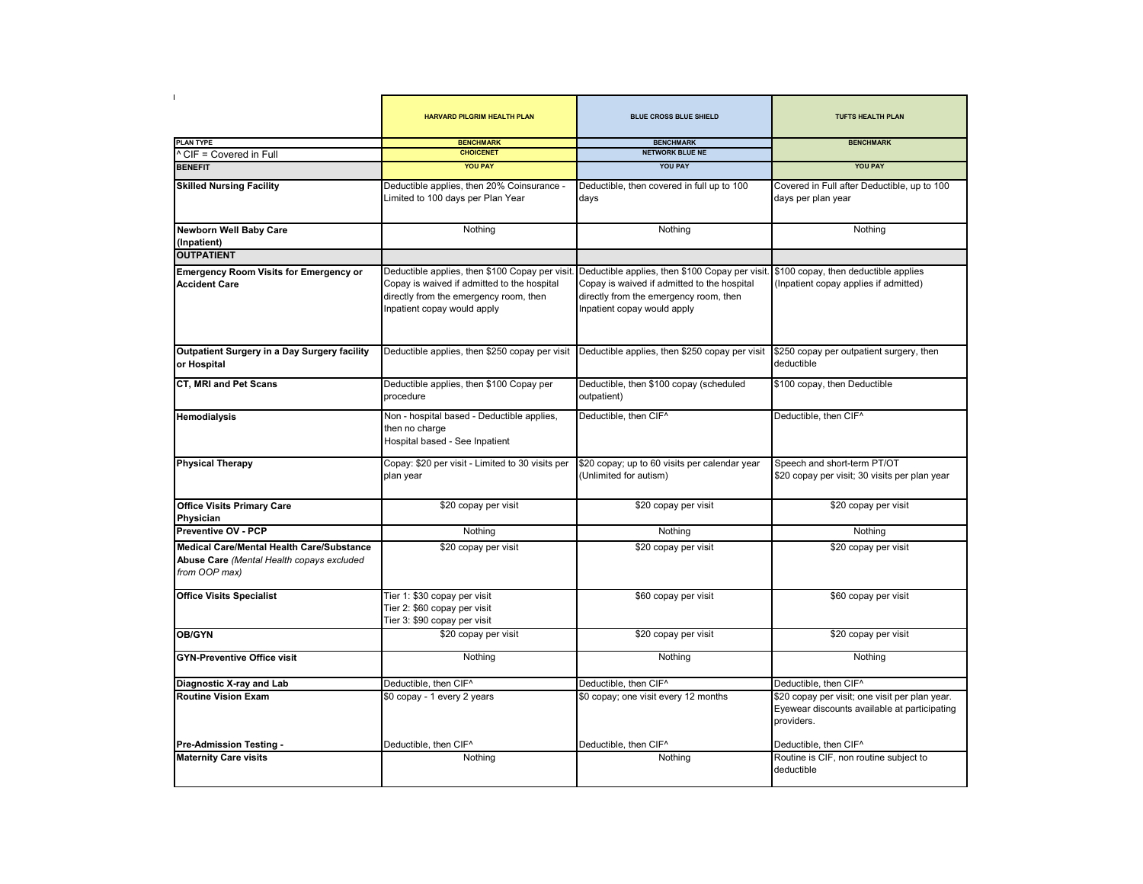|                                                                                                                | HARVARD PILGRIM HEALTH PLAN                                                                                                                                             | <b>BLUE CROSS BLUE SHIELD</b>                                                                                                                                                                                | <b>TUFTS HEALTH PLAN</b>                                                                                     |
|----------------------------------------------------------------------------------------------------------------|-------------------------------------------------------------------------------------------------------------------------------------------------------------------------|--------------------------------------------------------------------------------------------------------------------------------------------------------------------------------------------------------------|--------------------------------------------------------------------------------------------------------------|
| <b>PLAN TYPE</b>                                                                                               | <b>BENCHMARK</b>                                                                                                                                                        | <b>BENCHMARK</b>                                                                                                                                                                                             | <b>BENCHMARK</b>                                                                                             |
| ^ CIF = Covered in Full                                                                                        | <b>CHOICENET</b>                                                                                                                                                        | <b>NETWORK BLUE NE</b>                                                                                                                                                                                       |                                                                                                              |
| <b>BENEFIT</b>                                                                                                 | <b>YOU PAY</b>                                                                                                                                                          | <b>YOU PAY</b>                                                                                                                                                                                               | <b>YOU PAY</b>                                                                                               |
| <b>Skilled Nursing Facility</b>                                                                                | Deductible applies, then 20% Coinsurance -<br>Limited to 100 days per Plan Year                                                                                         | Deductible, then covered in full up to 100<br>days                                                                                                                                                           | Covered in Full after Deductible, up to 100<br>days per plan year                                            |
| <b>Newborn Well Baby Care</b><br>(Inpatient)                                                                   | Nothing                                                                                                                                                                 | Nothing                                                                                                                                                                                                      | Nothing                                                                                                      |
| <b>OUTPATIENT</b>                                                                                              |                                                                                                                                                                         |                                                                                                                                                                                                              |                                                                                                              |
| <b>Emergency Room Visits for Emergency or</b><br><b>Accident Care</b>                                          | Deductible applies, then \$100 Copay per visit.<br>Copay is waived if admitted to the hospital<br>directly from the emergency room, then<br>Inpatient copay would apply | Deductible applies, then \$100 Copay per visit. \$100 copay, then deductible applies<br>Copay is waived if admitted to the hospital<br>directly from the emergency room, then<br>Inpatient copay would apply | (Inpatient copay applies if admitted)                                                                        |
| Outpatient Surgery in a Day Surgery facility<br>or Hospital                                                    | Deductible applies, then \$250 copay per visit Deductible applies, then \$250 copay per visit                                                                           |                                                                                                                                                                                                              | \$250 copay per outpatient surgery, then<br>deductible                                                       |
| <b>CT, MRI and Pet Scans</b>                                                                                   | Deductible applies, then \$100 Copay per<br>procedure                                                                                                                   | Deductible, then \$100 copay (scheduled<br>outpatient)                                                                                                                                                       | \$100 copay, then Deductible                                                                                 |
| Hemodialysis                                                                                                   | Non - hospital based - Deductible applies,<br>then no charge<br>Hospital based - See Inpatient                                                                          | Deductible, then CIF^                                                                                                                                                                                        | Deductible, then CIF <sup>A</sup>                                                                            |
| <b>Physical Therapy</b>                                                                                        | Copay: \$20 per visit - Limited to 30 visits per<br>plan year                                                                                                           | \$20 copay; up to 60 visits per calendar year<br>(Unlimited for autism)                                                                                                                                      | Speech and short-term PT/OT<br>\$20 copay per visit; 30 visits per plan year                                 |
| <b>Office Visits Primary Care</b><br>Physician                                                                 | \$20 copay per visit                                                                                                                                                    | \$20 copay per visit                                                                                                                                                                                         | \$20 copay per visit                                                                                         |
| <b>Preventive OV - PCP</b>                                                                                     | Nothing                                                                                                                                                                 | Nothing                                                                                                                                                                                                      | Nothing                                                                                                      |
| <b>Medical Care/Mental Health Care/Substance</b><br>Abuse Care (Mental Health copays excluded<br>from OOP max) | \$20 copay per visit                                                                                                                                                    | \$20 copay per visit                                                                                                                                                                                         | \$20 copay per visit                                                                                         |
| <b>Office Visits Specialist</b>                                                                                | Tier 1: \$30 copay per visit<br>Tier 2: \$60 copay per visit<br>Tier 3: \$90 copay per visit                                                                            | \$60 copay per visit                                                                                                                                                                                         | \$60 copay per visit                                                                                         |
| OB/GYN                                                                                                         | \$20 copay per visit                                                                                                                                                    | \$20 copay per visit                                                                                                                                                                                         | \$20 copay per visit                                                                                         |
| <b>GYN-Preventive Office visit</b>                                                                             | Nothing                                                                                                                                                                 | Nothing                                                                                                                                                                                                      | Nothing                                                                                                      |
| Diagnostic X-ray and Lab                                                                                       | Deductible, then CIF <sup>^</sup>                                                                                                                                       | Deductible, then CIF <sup>^</sup>                                                                                                                                                                            | Deductible, then CIF^                                                                                        |
| <b>Routine Vision Exam</b>                                                                                     | \$0 copay - 1 every 2 years                                                                                                                                             | \$0 copay; one visit every 12 months                                                                                                                                                                         | \$20 copay per visit; one visit per plan year.<br>Eyewear discounts available at participating<br>providers. |
| Pre-Admission Testing -                                                                                        | Deductible, then CIF^                                                                                                                                                   | Deductible, then CIF^                                                                                                                                                                                        | Deductible, then CIF^                                                                                        |
| <b>Maternity Care visits</b>                                                                                   | Nothing                                                                                                                                                                 | Nothing                                                                                                                                                                                                      | Routine is CIF, non routine subject to<br>deductible                                                         |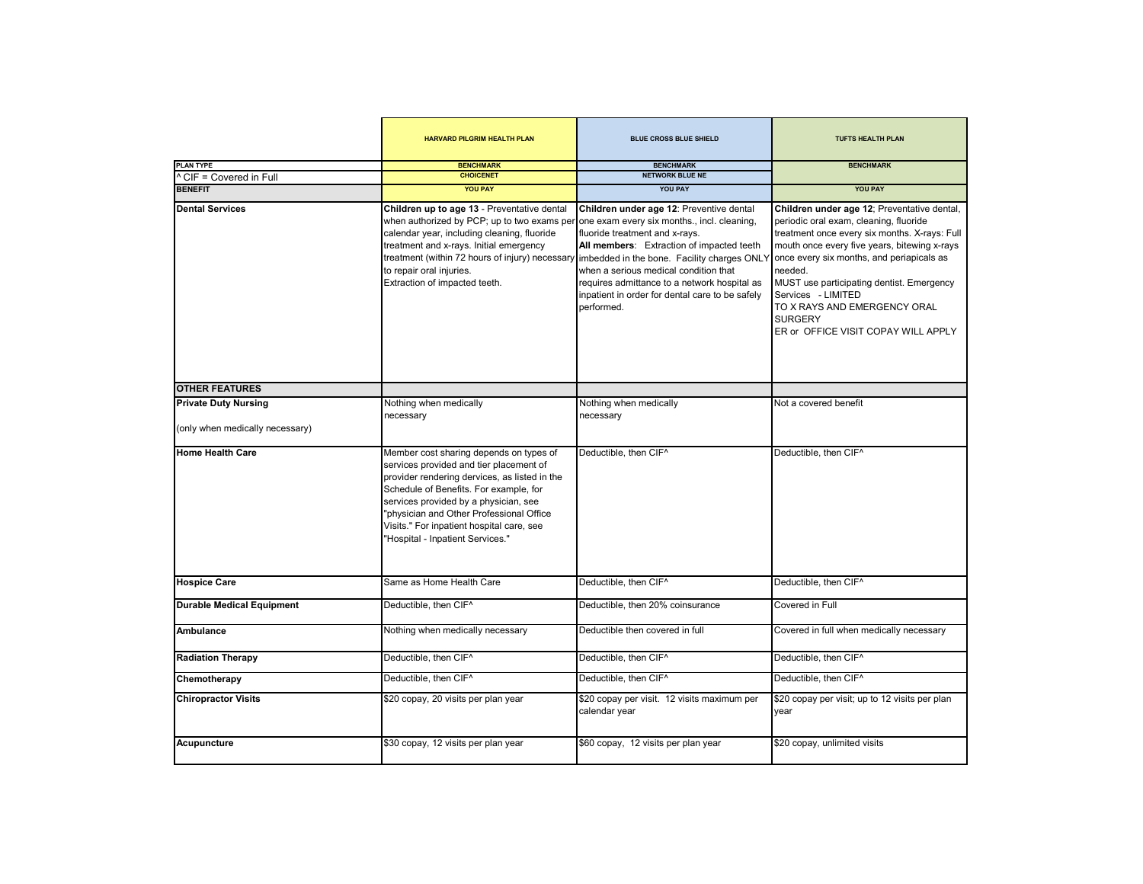|                                             | <b>HARVARD PILGRIM HEALTH PLAN</b>                                                                                                                                                                                                                                                                                                                  | <b>BLUE CROSS BLUE SHIELD</b>                                                                                                                                                                                                                                                                                                                                                   | <b>TUFTS HEALTH PLAN</b>                                                                                                                                                                                                                                                                                                                                                                                   |
|---------------------------------------------|-----------------------------------------------------------------------------------------------------------------------------------------------------------------------------------------------------------------------------------------------------------------------------------------------------------------------------------------------------|---------------------------------------------------------------------------------------------------------------------------------------------------------------------------------------------------------------------------------------------------------------------------------------------------------------------------------------------------------------------------------|------------------------------------------------------------------------------------------------------------------------------------------------------------------------------------------------------------------------------------------------------------------------------------------------------------------------------------------------------------------------------------------------------------|
| <b>PLAN TYPE</b><br>^ CIF = Covered in Full | <b>BENCHMARK</b><br><b>CHOICENET</b>                                                                                                                                                                                                                                                                                                                | <b>BENCHMARK</b><br><b>NETWORK BLUE NE</b>                                                                                                                                                                                                                                                                                                                                      | <b>BENCHMARK</b>                                                                                                                                                                                                                                                                                                                                                                                           |
| <b>BENEFIT</b>                              | <b>YOU PAY</b>                                                                                                                                                                                                                                                                                                                                      | <b>YOU PAY</b>                                                                                                                                                                                                                                                                                                                                                                  | <b>YOU PAY</b>                                                                                                                                                                                                                                                                                                                                                                                             |
| <b>Dental Services</b>                      | Children up to age 13 - Preventative dental<br>when authorized by PCP; up to two exams per<br>calendar year, including cleaning, fluoride<br>treatment and x-rays. Initial emergency<br>treatment (within 72 hours of injury) necessary<br>to repair oral injuries.<br>Extraction of impacted teeth.                                                | Children under age 12: Preventive dental<br>one exam every six months., incl. cleaning,<br>fluoride treatment and x-rays.<br>All members: Extraction of impacted teeth<br>imbedded in the bone. Facility charges ONLY<br>when a serious medical condition that<br>requires admittance to a network hospital as<br>inpatient in order for dental care to be safely<br>performed. | Children under age 12; Preventative dental,<br>periodic oral exam, cleaning, fluoride<br>treatment once every six months. X-rays: Full<br>mouth once every five years, bitewing x-rays<br>once every six months, and periapicals as<br>needed.<br>MUST use participating dentist. Emergency<br>Services - LIMITED<br>TO X RAYS AND EMERGENCY ORAL<br><b>SURGERY</b><br>ER or OFFICE VISIT COPAY WILL APPLY |
| <b>OTHER FEATURES</b>                       |                                                                                                                                                                                                                                                                                                                                                     |                                                                                                                                                                                                                                                                                                                                                                                 |                                                                                                                                                                                                                                                                                                                                                                                                            |
| <b>Private Duty Nursing</b>                 | Nothing when medically                                                                                                                                                                                                                                                                                                                              | Nothing when medically                                                                                                                                                                                                                                                                                                                                                          | Not a covered benefit                                                                                                                                                                                                                                                                                                                                                                                      |
| (only when medically necessary)             | necessary                                                                                                                                                                                                                                                                                                                                           | necessary                                                                                                                                                                                                                                                                                                                                                                       |                                                                                                                                                                                                                                                                                                                                                                                                            |
| <b>Home Health Care</b>                     | Member cost sharing depends on types of<br>services provided and tier placement of<br>provider rendering dervices, as listed in the<br>Schedule of Benefits. For example, for<br>services provided by a physician, see<br>"physician and Other Professional Office<br>Visits." For inpatient hospital care, see<br>"Hospital - Inpatient Services." | Deductible, then CIF <sup>^</sup>                                                                                                                                                                                                                                                                                                                                               | Deductible, then CIF^                                                                                                                                                                                                                                                                                                                                                                                      |
| <b>Hospice Care</b>                         | Same as Home Health Care                                                                                                                                                                                                                                                                                                                            | Deductible, then CIF <sup>^</sup>                                                                                                                                                                                                                                                                                                                                               | Deductible, then CIF <sup>^</sup>                                                                                                                                                                                                                                                                                                                                                                          |
| <b>Durable Medical Equipment</b>            | Deductible, then CIF^                                                                                                                                                                                                                                                                                                                               | Deductible, then 20% coinsurance                                                                                                                                                                                                                                                                                                                                                | Covered in Full                                                                                                                                                                                                                                                                                                                                                                                            |
| Ambulance                                   | Nothing when medically necessary                                                                                                                                                                                                                                                                                                                    | Deductible then covered in full                                                                                                                                                                                                                                                                                                                                                 | Covered in full when medically necessary                                                                                                                                                                                                                                                                                                                                                                   |
| <b>Radiation Therapy</b>                    | Deductible, then CIF^                                                                                                                                                                                                                                                                                                                               | Deductible, then CIF^                                                                                                                                                                                                                                                                                                                                                           | Deductible, then CIF <sup>^</sup>                                                                                                                                                                                                                                                                                                                                                                          |
| Chemotherapy                                | Deductible, then CIF^                                                                                                                                                                                                                                                                                                                               | Deductible, then CIF <sup>^</sup>                                                                                                                                                                                                                                                                                                                                               | Deductible, then CIF <sup>^</sup>                                                                                                                                                                                                                                                                                                                                                                          |
| <b>Chiropractor Visits</b>                  | \$20 copay, 20 visits per plan year                                                                                                                                                                                                                                                                                                                 | \$20 copay per visit. 12 visits maximum per<br>calendar year                                                                                                                                                                                                                                                                                                                    | \$20 copay per visit; up to 12 visits per plan<br>year                                                                                                                                                                                                                                                                                                                                                     |
| Acupuncture                                 | \$30 copay, 12 visits per plan year                                                                                                                                                                                                                                                                                                                 | \$60 copay, 12 visits per plan year                                                                                                                                                                                                                                                                                                                                             | \$20 copay, unlimited visits                                                                                                                                                                                                                                                                                                                                                                               |